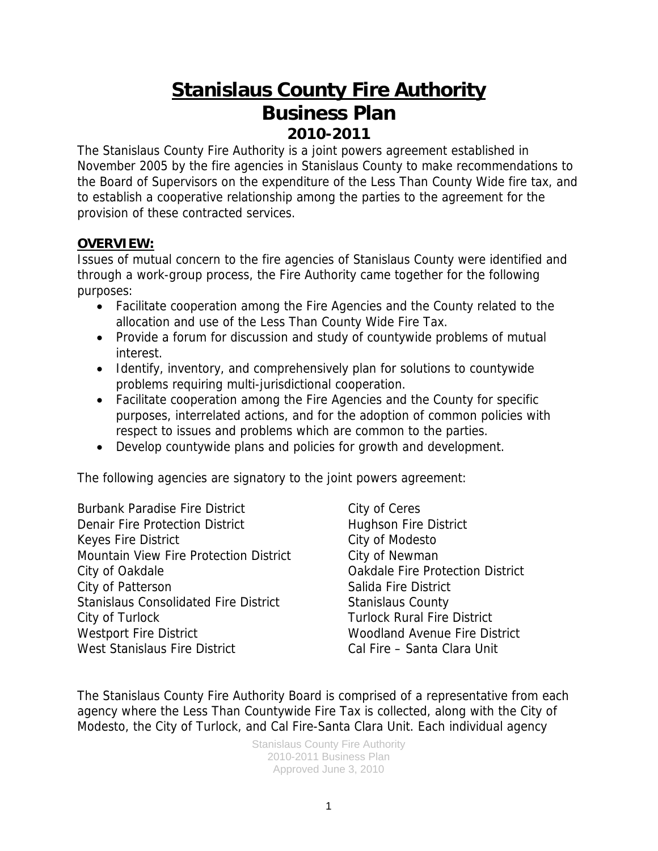# **Stanislaus County Fire Authority Business Plan 2010-2011**

The Stanislaus County Fire Authority is a joint powers agreement established in November 2005 by the fire agencies in Stanislaus County to make recommendations to the Board of Supervisors on the expenditure of the Less Than County Wide fire tax, and to establish a cooperative relationship among the parties to the agreement for the provision of these contracted services.

## **OVERVIEW:**

Issues of mutual concern to the fire agencies of Stanislaus County were identified and through a work-group process, the Fire Authority came together for the following purposes:

- Facilitate cooperation among the Fire Agencies and the County related to the allocation and use of the Less Than County Wide Fire Tax.
- Provide a forum for discussion and study of countywide problems of mutual interest.
- Identify, inventory, and comprehensively plan for solutions to countywide problems requiring multi-jurisdictional cooperation.
- Facilitate cooperation among the Fire Agencies and the County for specific purposes, interrelated actions, and for the adoption of common policies with respect to issues and problems which are common to the parties.
- Develop countywide plans and policies for growth and development.

The following agencies are signatory to the joint powers agreement:

Burbank Paradise Fire District City of Ceres Denair Fire Protection District **Hughson Fire District** Keyes Fire District **City of Modesto** Mountain View Fire Protection District City of Newman City of Oakdale **City of Oakdale Fire Protection District** City of Patterson Salida Fire District Stanislaus Consolidated Fire District Stanislaus County City of Turlock Turlock Rural Fire District Westport Fire District Woodland Avenue Fire District West Stanislaus Fire District Cal Fire – Santa Clara Unit

The Stanislaus County Fire Authority Board is comprised of a representative from each agency where the Less Than Countywide Fire Tax is collected, along with the City of Modesto, the City of Turlock, and Cal Fire-Santa Clara Unit. Each individual agency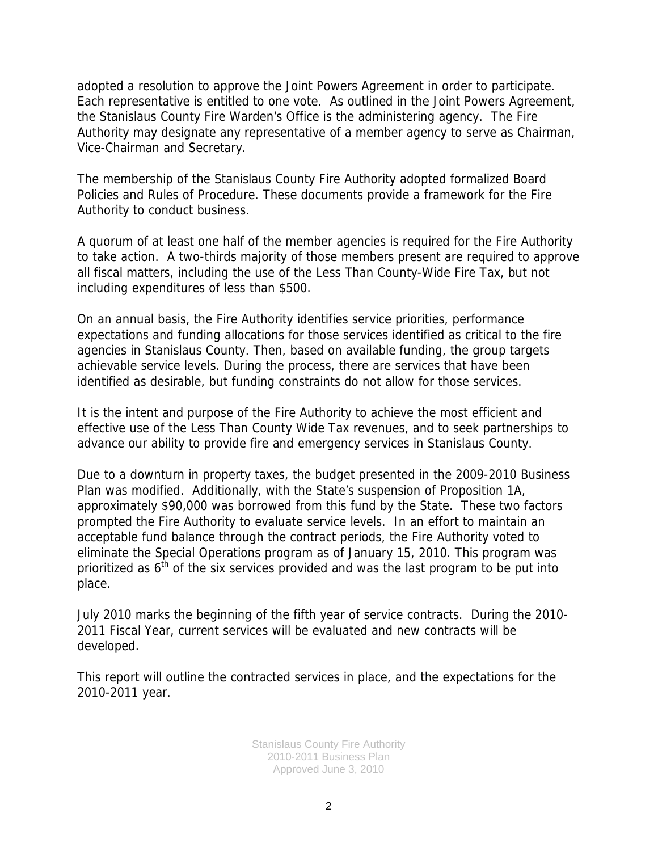adopted a resolution to approve the Joint Powers Agreement in order to participate. Each representative is entitled to one vote. As outlined in the Joint Powers Agreement, the Stanislaus County Fire Warden's Office is the administering agency. The Fire Authority may designate any representative of a member agency to serve as Chairman, Vice-Chairman and Secretary.

The membership of the Stanislaus County Fire Authority adopted formalized Board Policies and Rules of Procedure. These documents provide a framework for the Fire Authority to conduct business.

A quorum of at least one half of the member agencies is required for the Fire Authority to take action. A two-thirds majority of those members present are required to approve all fiscal matters, including the use of the Less Than County-Wide Fire Tax, but not including expenditures of less than \$500.

On an annual basis, the Fire Authority identifies service priorities, performance expectations and funding allocations for those services identified as critical to the fire agencies in Stanislaus County. Then, based on available funding, the group targets achievable service levels. During the process, there are services that have been identified as desirable, but funding constraints do not allow for those services.

It is the intent and purpose of the Fire Authority to achieve the most efficient and effective use of the Less Than County Wide Tax revenues, and to seek partnerships to advance our ability to provide fire and emergency services in Stanislaus County.

Due to a downturn in property taxes, the budget presented in the 2009-2010 Business Plan was modified. Additionally, with the State's suspension of Proposition 1A, approximately \$90,000 was borrowed from this fund by the State. These two factors prompted the Fire Authority to evaluate service levels. In an effort to maintain an acceptable fund balance through the contract periods, the Fire Authority voted to eliminate the Special Operations program as of January 15, 2010. This program was prioritized as  $6<sup>th</sup>$  of the six services provided and was the last program to be put into place.

July 2010 marks the beginning of the fifth year of service contracts. During the 2010- 2011 Fiscal Year, current services will be evaluated and new contracts will be developed.

This report will outline the contracted services in place, and the expectations for the 2010-2011 year.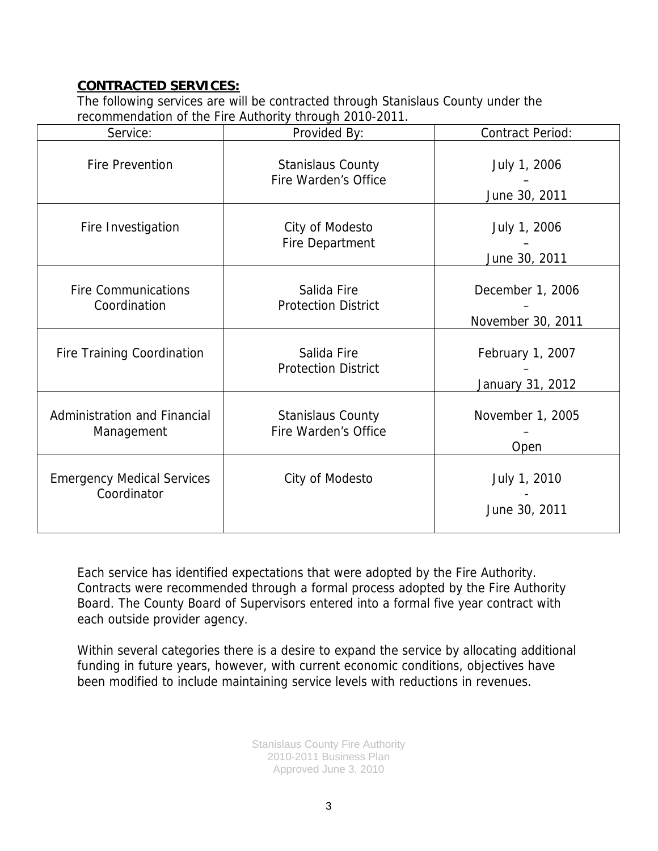## **CONTRACTED SERVICES:**

The following services are will be contracted through Stanislaus County under the recommendation of the Fire Authority through 2010-2011.

| Service:                                         | Provided By:                                     | <b>Contract Period:</b>               |
|--------------------------------------------------|--------------------------------------------------|---------------------------------------|
| <b>Fire Prevention</b>                           | <b>Stanislaus County</b><br>Fire Warden's Office | July 1, 2006<br>June 30, 2011         |
| Fire Investigation                               | City of Modesto<br><b>Fire Department</b>        | July 1, 2006<br>June 30, 2011         |
| <b>Fire Communications</b><br>Coordination       | Salida Fire<br><b>Protection District</b>        | December 1, 2006<br>November 30, 2011 |
| <b>Fire Training Coordination</b>                | Salida Fire<br><b>Protection District</b>        | February 1, 2007<br>January 31, 2012  |
| Administration and Financial<br>Management       | <b>Stanislaus County</b><br>Fire Warden's Office | November 1, 2005<br>Open              |
| <b>Emergency Medical Services</b><br>Coordinator | City of Modesto                                  | July 1, 2010<br>June 30, 2011         |

Each service has identified expectations that were adopted by the Fire Authority. Contracts were recommended through a formal process adopted by the Fire Authority Board. The County Board of Supervisors entered into a formal five year contract with each outside provider agency.

Within several categories there is a desire to expand the service by allocating additional funding in future years, however, with current economic conditions, objectives have been modified to include maintaining service levels with reductions in revenues.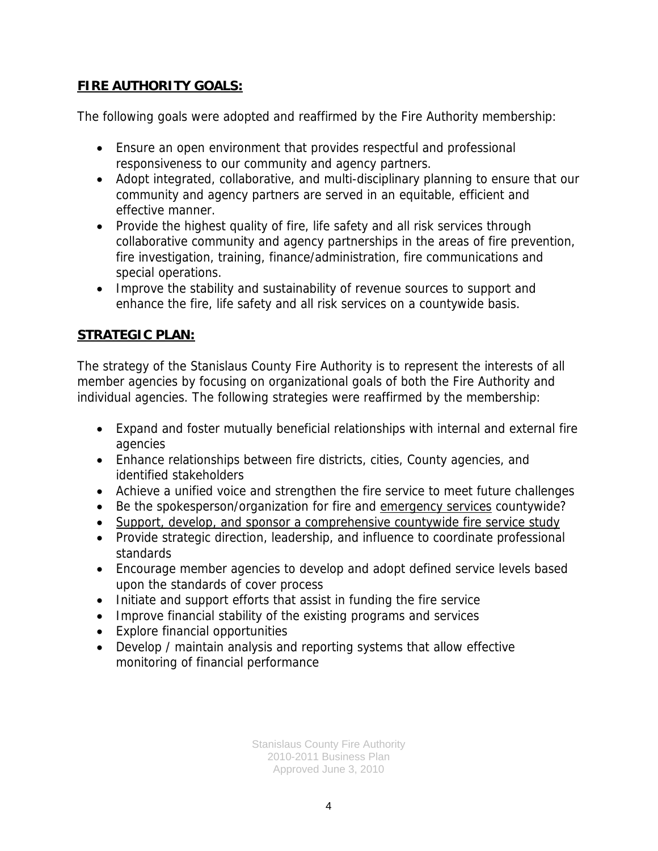## **FIRE AUTHORITY GOALS:**

The following goals were adopted and reaffirmed by the Fire Authority membership:

- Ensure an open environment that provides respectful and professional responsiveness to our community and agency partners.
- Adopt integrated, collaborative, and multi-disciplinary planning to ensure that our community and agency partners are served in an equitable, efficient and effective manner.
- Provide the highest quality of fire, life safety and all risk services through collaborative community and agency partnerships in the areas of fire prevention, fire investigation, training, finance/administration, fire communications and special operations.
- Improve the stability and sustainability of revenue sources to support and enhance the fire, life safety and all risk services on a countywide basis.

## **STRATEGIC PLAN:**

The strategy of the Stanislaus County Fire Authority is to represent the interests of all member agencies by focusing on organizational goals of both the Fire Authority and individual agencies. The following strategies were reaffirmed by the membership:

- Expand and foster mutually beneficial relationships with internal and external fire agencies
- Enhance relationships between fire districts, cities, County agencies, and identified stakeholders
- Achieve a unified voice and strengthen the fire service to meet future challenges
- Be the spokesperson/organization for fire and emergency services countywide?
- Support, develop, and sponsor a comprehensive countywide fire service study
- Provide strategic direction, leadership, and influence to coordinate professional standards
- Encourage member agencies to develop and adopt defined service levels based upon the standards of cover process
- Initiate and support efforts that assist in funding the fire service
- Improve financial stability of the existing programs and services
- Explore financial opportunities
- Develop / maintain analysis and reporting systems that allow effective monitoring of financial performance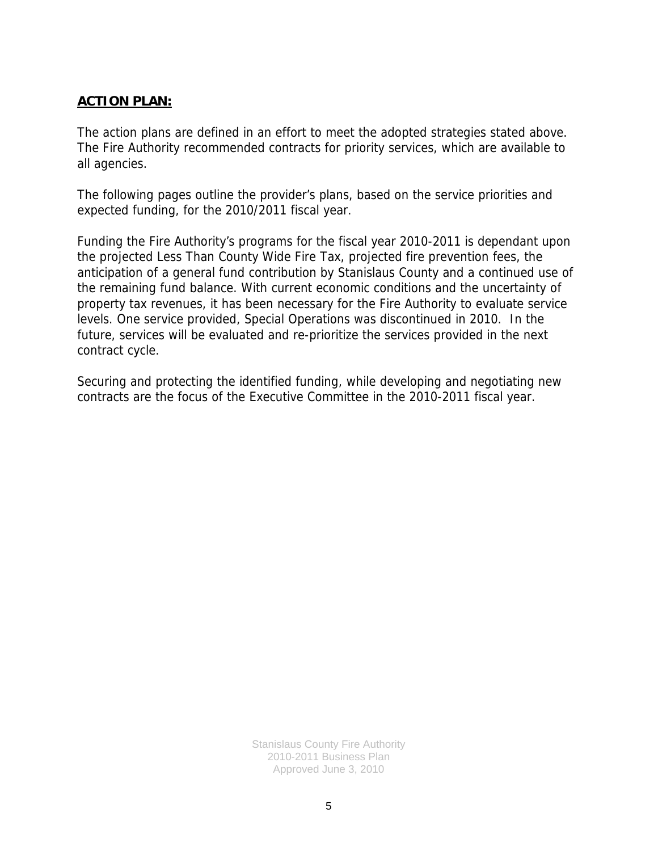### **ACTION PLAN:**

The action plans are defined in an effort to meet the adopted strategies stated above. The Fire Authority recommended contracts for priority services, which are available to all agencies.

The following pages outline the provider's plans, based on the service priorities and expected funding, for the 2010/2011 fiscal year.

Funding the Fire Authority's programs for the fiscal year 2010-2011 is dependant upon the projected Less Than County Wide Fire Tax, projected fire prevention fees, the anticipation of a general fund contribution by Stanislaus County and a continued use of the remaining fund balance. With current economic conditions and the uncertainty of property tax revenues, it has been necessary for the Fire Authority to evaluate service levels. One service provided, Special Operations was discontinued in 2010. In the future, services will be evaluated and re-prioritize the services provided in the next contract cycle.

Securing and protecting the identified funding, while developing and negotiating new contracts are the focus of the Executive Committee in the 2010-2011 fiscal year.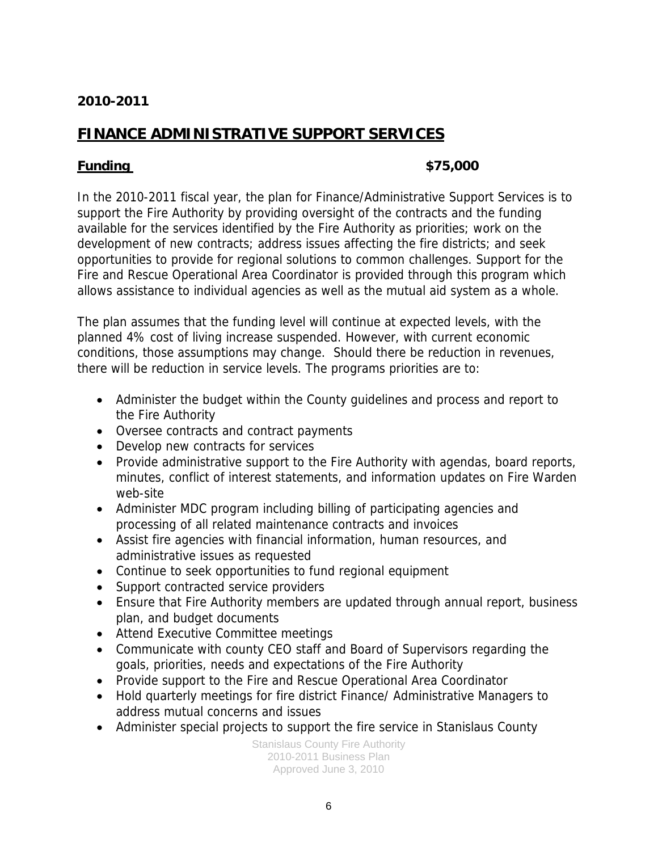# **FINANCE ADMINISTRATIVE SUPPORT SERVICES**

### **Funding \$75,000**

In the 2010-2011 fiscal year, the plan for Finance/Administrative Support Services is to support the Fire Authority by providing oversight of the contracts and the funding available for the services identified by the Fire Authority as priorities; work on the development of new contracts; address issues affecting the fire districts; and seek opportunities to provide for regional solutions to common challenges. Support for the Fire and Rescue Operational Area Coordinator is provided through this program which allows assistance to individual agencies as well as the mutual aid system as a whole.

The plan assumes that the funding level will continue at expected levels, with the planned 4% cost of living increase suspended. However, with current economic conditions, those assumptions may change. Should there be reduction in revenues, there will be reduction in service levels. The programs priorities are to:

- Administer the budget within the County guidelines and process and report to the Fire Authority
- Oversee contracts and contract payments
- Develop new contracts for services
- Provide administrative support to the Fire Authority with agendas, board reports, minutes, conflict of interest statements, and information updates on Fire Warden web-site
- Administer MDC program including billing of participating agencies and processing of all related maintenance contracts and invoices
- Assist fire agencies with financial information, human resources, and administrative issues as requested
- Continue to seek opportunities to fund regional equipment
- Support contracted service providers
- Ensure that Fire Authority members are updated through annual report, business plan, and budget documents
- Attend Executive Committee meetings
- Communicate with county CEO staff and Board of Supervisors regarding the goals, priorities, needs and expectations of the Fire Authority
- Provide support to the Fire and Rescue Operational Area Coordinator
- Hold quarterly meetings for fire district Finance/ Administrative Managers to address mutual concerns and issues
- Administer special projects to support the fire service in Stanislaus County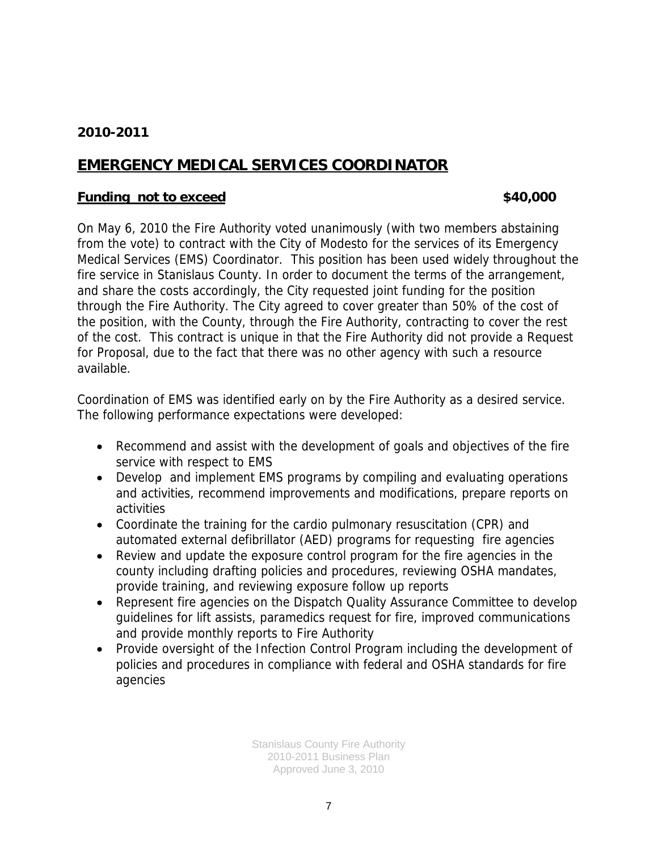# **EMERGENCY MEDICAL SERVICES COORDINATOR**

#### **Funding not to exceed \$40,000 \$40,000**

On May 6, 2010 the Fire Authority voted unanimously (with two members abstaining from the vote) to contract with the City of Modesto for the services of its Emergency Medical Services (EMS) Coordinator. This position has been used widely throughout the fire service in Stanislaus County. In order to document the terms of the arrangement, and share the costs accordingly, the City requested joint funding for the position through the Fire Authority. The City agreed to cover greater than 50% of the cost of the position, with the County, through the Fire Authority, contracting to cover the rest of the cost. This contract is unique in that the Fire Authority did not provide a Request for Proposal, due to the fact that there was no other agency with such a resource available.

Coordination of EMS was identified early on by the Fire Authority as a desired service. The following performance expectations were developed:

- Recommend and assist with the development of goals and objectives of the fire service with respect to EMS
- Develop and implement EMS programs by compiling and evaluating operations and activities, recommend improvements and modifications, prepare reports on activities
- Coordinate the training for the cardio pulmonary resuscitation (CPR) and automated external defibrillator (AED) programs for requesting fire agencies
- Review and update the exposure control program for the fire agencies in the county including drafting policies and procedures, reviewing OSHA mandates, provide training, and reviewing exposure follow up reports
- Represent fire agencies on the Dispatch Quality Assurance Committee to develop guidelines for lift assists, paramedics request for fire, improved communications and provide monthly reports to Fire Authority
- Provide oversight of the Infection Control Program including the development of policies and procedures in compliance with federal and OSHA standards for fire agencies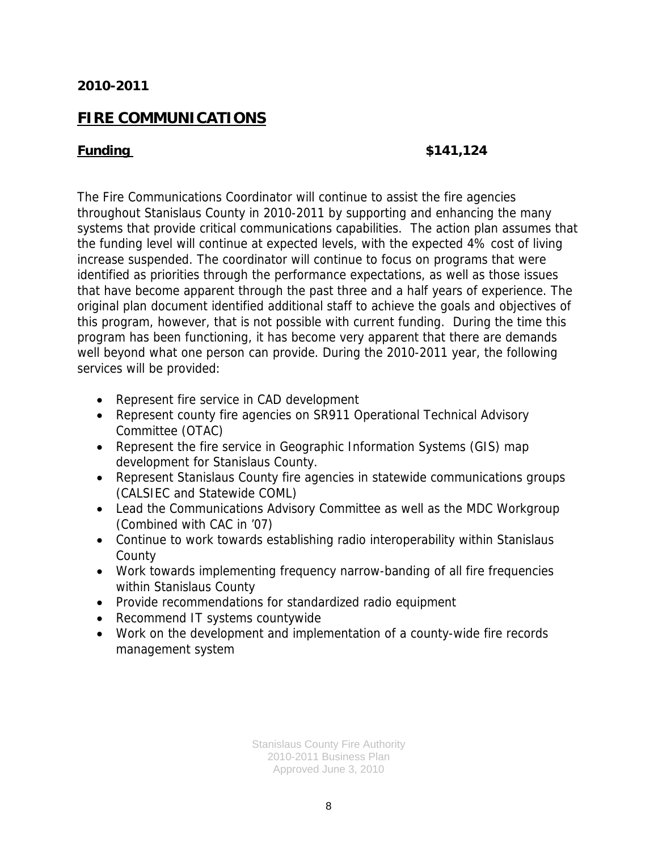## **FIRE COMMUNICATIONS**

#### **Funding \$141,124**

The Fire Communications Coordinator will continue to assist the fire agencies throughout Stanislaus County in 2010-2011 by supporting and enhancing the many systems that provide critical communications capabilities. The action plan assumes that the funding level will continue at expected levels, with the expected 4% cost of living increase suspended. The coordinator will continue to focus on programs that were identified as priorities through the performance expectations, as well as those issues that have become apparent through the past three and a half years of experience. The original plan document identified additional staff to achieve the goals and objectives of this program, however, that is not possible with current funding. During the time this program has been functioning, it has become very apparent that there are demands well beyond what one person can provide. During the 2010-2011 year, the following services will be provided:

- Represent fire service in CAD development
- Represent county fire agencies on SR911 Operational Technical Advisory Committee (OTAC)
- Represent the fire service in Geographic Information Systems (GIS) map development for Stanislaus County.
- Represent Stanislaus County fire agencies in statewide communications groups (CALSIEC and Statewide COML)
- Lead the Communications Advisory Committee as well as the MDC Workgroup (Combined with CAC in '07)
- Continue to work towards establishing radio interoperability within Stanislaus County
- Work towards implementing frequency narrow-banding of all fire frequencies within Stanislaus County
- Provide recommendations for standardized radio equipment
- Recommend IT systems countywide
- Work on the development and implementation of a county-wide fire records management system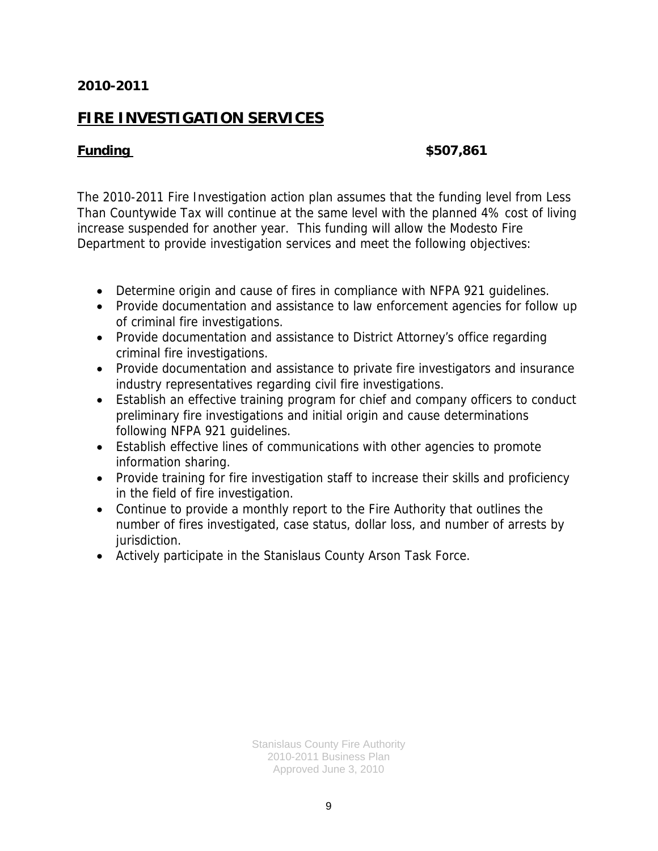# **FIRE INVESTIGATION SERVICES**

#### **Funding \$507,861**

The 2010-2011 Fire Investigation action plan assumes that the funding level from Less Than Countywide Tax will continue at the same level with the planned 4% cost of living increase suspended for another year. This funding will allow the Modesto Fire Department to provide investigation services and meet the following objectives:

- Determine origin and cause of fires in compliance with NFPA 921 guidelines.
- Provide documentation and assistance to law enforcement agencies for follow up of criminal fire investigations.
- Provide documentation and assistance to District Attorney's office regarding criminal fire investigations.
- Provide documentation and assistance to private fire investigators and insurance industry representatives regarding civil fire investigations.
- Establish an effective training program for chief and company officers to conduct preliminary fire investigations and initial origin and cause determinations following NFPA 921 guidelines.
- Establish effective lines of communications with other agencies to promote information sharing.
- Provide training for fire investigation staff to increase their skills and proficiency in the field of fire investigation.
- Continue to provide a monthly report to the Fire Authority that outlines the number of fires investigated, case status, dollar loss, and number of arrests by jurisdiction.
- Actively participate in the Stanislaus County Arson Task Force.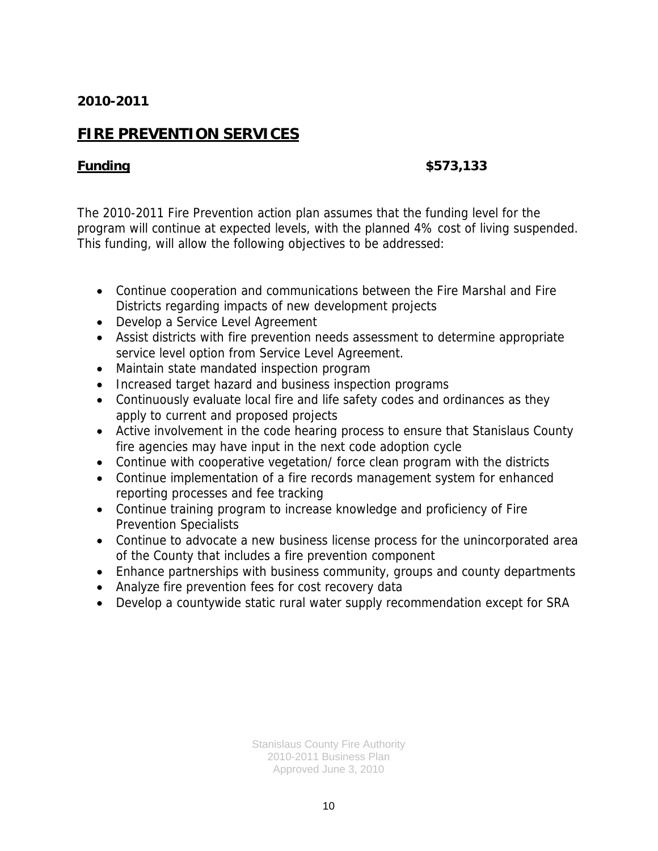# **FIRE PREVENTION SERVICES**

### **Funding \$573,133**

The 2010-2011 Fire Prevention action plan assumes that the funding level for the program will continue at expected levels, with the planned 4% cost of living suspended. This funding, will allow the following objectives to be addressed:

- Continue cooperation and communications between the Fire Marshal and Fire Districts regarding impacts of new development projects
- Develop a Service Level Agreement
- Assist districts with fire prevention needs assessment to determine appropriate service level option from Service Level Agreement.
- Maintain state mandated inspection program
- Increased target hazard and business inspection programs
- Continuously evaluate local fire and life safety codes and ordinances as they apply to current and proposed projects
- Active involvement in the code hearing process to ensure that Stanislaus County fire agencies may have input in the next code adoption cycle
- Continue with cooperative vegetation/ force clean program with the districts
- Continue implementation of a fire records management system for enhanced reporting processes and fee tracking
- Continue training program to increase knowledge and proficiency of Fire Prevention Specialists
- Continue to advocate a new business license process for the unincorporated area of the County that includes a fire prevention component
- Enhance partnerships with business community, groups and county departments
- Analyze fire prevention fees for cost recovery data
- Develop a countywide static rural water supply recommendation except for SRA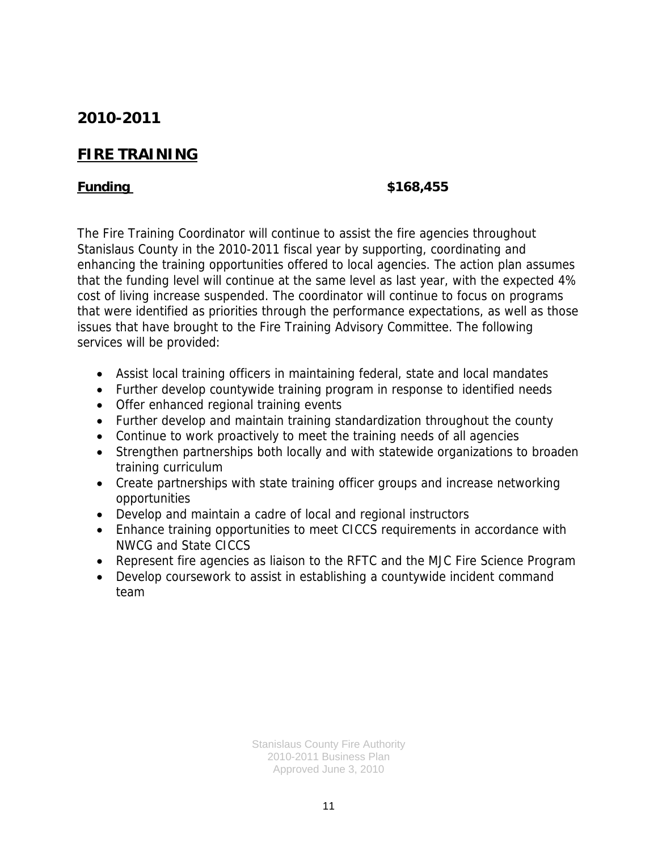# **FIRE TRAINING**

### **Funding \$168,455**

The Fire Training Coordinator will continue to assist the fire agencies throughout Stanislaus County in the 2010-2011 fiscal year by supporting, coordinating and enhancing the training opportunities offered to local agencies. The action plan assumes that the funding level will continue at the same level as last year, with the expected 4% cost of living increase suspended. The coordinator will continue to focus on programs that were identified as priorities through the performance expectations, as well as those issues that have brought to the Fire Training Advisory Committee. The following services will be provided:

- Assist local training officers in maintaining federal, state and local mandates
- Further develop countywide training program in response to identified needs
- Offer enhanced regional training events
- Further develop and maintain training standardization throughout the county
- Continue to work proactively to meet the training needs of all agencies
- Strengthen partnerships both locally and with statewide organizations to broaden training curriculum
- Create partnerships with state training officer groups and increase networking opportunities
- Develop and maintain a cadre of local and regional instructors
- Enhance training opportunities to meet CICCS requirements in accordance with NWCG and State CICCS
- Represent fire agencies as liaison to the RFTC and the MJC Fire Science Program
- Develop coursework to assist in establishing a countywide incident command team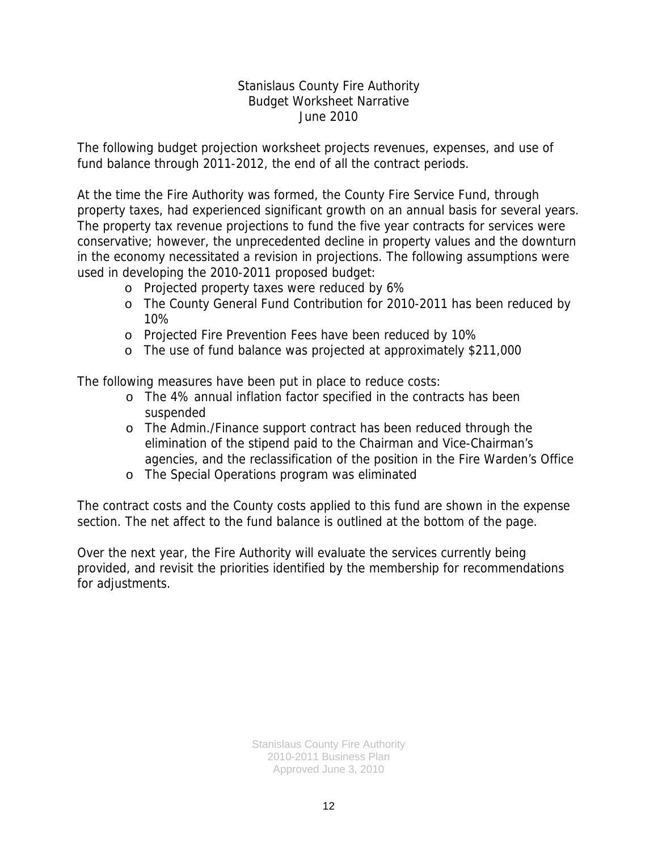### Stanislaus County Fire Authority Budget Worksheet Narrative June 2010

The following budget projection worksheet projects revenues, expenses, and use of fund balance through 2011-2012, the end of all the contract periods.

At the time the Fire Authority was formed, the County Fire Service Fund, through property taxes, had experienced significant growth on an annual basis for several years. The property tax revenue projections to fund the five year contracts for services were conservative; however, the unprecedented decline in property values and the downturn in the economy necessitated a revision in projections. The following assumptions were used in developing the 2010-2011 proposed budget:

- o Projected property taxes were reduced by 6%
- o The County General Fund Contribution for 2010-2011 has been reduced by 10%
- o Projected Fire Prevention Fees have been reduced by 10%
- o The use of fund balance was projected at approximately \$211,000

The following measures have been put in place to reduce costs:

- o The 4% annual inflation factor specified in the contracts has been suspended
- o The Admin./Finance support contract has been reduced through the elimination of the stipend paid to the Chairman and Vice-Chairman's agencies, and the reclassification of the position in the Fire Warden's Office
- o The Special Operations program was eliminated

The contract costs and the County costs applied to this fund are shown in the expense section. The net affect to the fund balance is outlined at the bottom of the page.

Over the next year, the Fire Authority will evaluate the services currently being provided, and revisit the priorities identified by the membership for recommendations for adjustments.